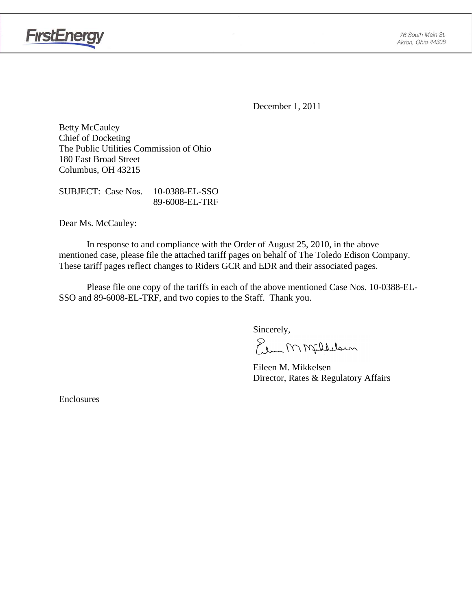

December 1, 2011

Betty McCauley Chief of Docketing The Public Utilities Commission of Ohio 180 East Broad Street Columbus, OH 43215

SUBJECT: Case Nos. 10-0388-EL-SSO 89-6008-EL-TRF

Dear Ms. McCauley:

**FirstEnergy** 

 In response to and compliance with the Order of August 25, 2010, in the above mentioned case, please file the attached tariff pages on behalf of The Toledo Edison Company. These tariff pages reflect changes to Riders GCR and EDR and their associated pages.

Please file one copy of the tariffs in each of the above mentioned Case Nos. 10-0388-EL-SSO and 89-6008-EL-TRF, and two copies to the Staff. Thank you.

Sincerely,

Elem M Milleloun

 Eileen M. Mikkelsen Director, Rates & Regulatory Affairs

Enclosures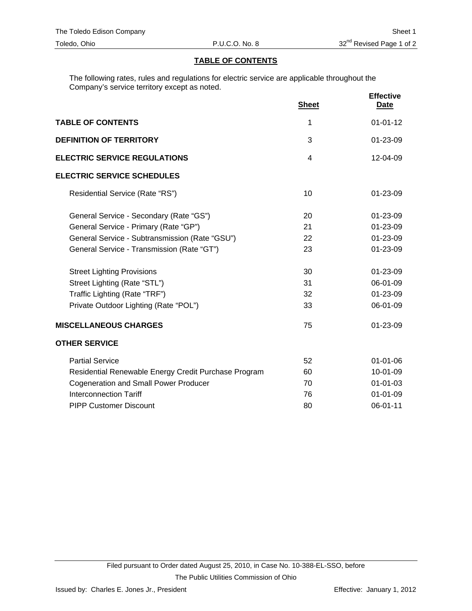### **TABLE OF CONTENTS**

The following rates, rules and regulations for electric service are applicable throughout the Company's service territory except as noted.

|                                                      | <b>Sheet</b>   | <b>Effective</b><br><b>Date</b> |
|------------------------------------------------------|----------------|---------------------------------|
| <b>TABLE OF CONTENTS</b>                             | 1              | $01 - 01 - 12$                  |
| <b>DEFINITION OF TERRITORY</b>                       | 3              | 01-23-09                        |
| <b>ELECTRIC SERVICE REGULATIONS</b>                  | $\overline{4}$ | 12-04-09                        |
| <b>ELECTRIC SERVICE SCHEDULES</b>                    |                |                                 |
| Residential Service (Rate "RS")                      | 10             | $01 - 23 - 09$                  |
| General Service - Secondary (Rate "GS")              | 20             | 01-23-09                        |
| General Service - Primary (Rate "GP")                | 21             | 01-23-09                        |
| General Service - Subtransmission (Rate "GSU")       | 22             | 01-23-09                        |
| General Service - Transmission (Rate "GT")           | 23             | $01 - 23 - 09$                  |
| <b>Street Lighting Provisions</b>                    | 30             | 01-23-09                        |
| Street Lighting (Rate "STL")                         | 31             | 06-01-09                        |
| Traffic Lighting (Rate "TRF")                        | 32             | 01-23-09                        |
| Private Outdoor Lighting (Rate "POL")                | 33             | 06-01-09                        |
| <b>MISCELLANEOUS CHARGES</b>                         | 75             | 01-23-09                        |
| <b>OTHER SERVICE</b>                                 |                |                                 |
| <b>Partial Service</b>                               | 52             | $01 - 01 - 06$                  |
| Residential Renewable Energy Credit Purchase Program | 60             | 10-01-09                        |
| <b>Cogeneration and Small Power Producer</b>         | 70             | $01 - 01 - 03$                  |
| <b>Interconnection Tariff</b>                        | 76             | $01 - 01 - 09$                  |
| <b>PIPP Customer Discount</b>                        | 80             | 06-01-11                        |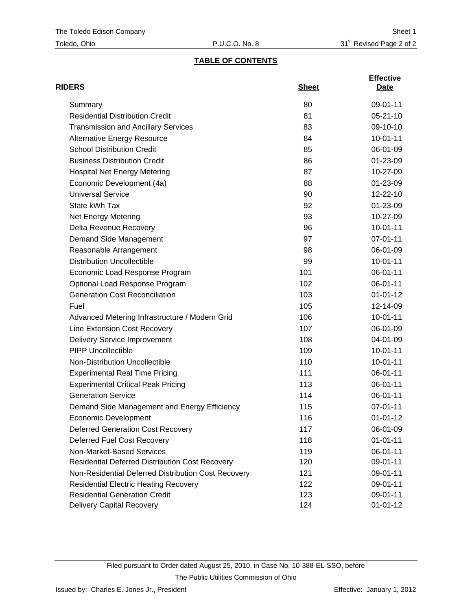# **TABLE OF CONTENTS**

| <b>RIDERS</b>                                          | <b>Sheet</b> | <b>Effective</b><br>Date |
|--------------------------------------------------------|--------------|--------------------------|
| Summary                                                | 80           | 09-01-11                 |
| <b>Residential Distribution Credit</b>                 | 81           | $05 - 21 - 10$           |
| <b>Transmission and Ancillary Services</b>             | 83           | 09-10-10                 |
| <b>Alternative Energy Resource</b>                     | 84           | $10 - 01 - 11$           |
| <b>School Distribution Credit</b>                      | 85           | 06-01-09                 |
| <b>Business Distribution Credit</b>                    | 86           | 01-23-09                 |
| <b>Hospital Net Energy Metering</b>                    | 87           | 10-27-09                 |
| Economic Development (4a)                              | 88           | 01-23-09                 |
| <b>Universal Service</b>                               | 90           | 12-22-10                 |
| State kWh Tax                                          | 92           | 01-23-09                 |
| Net Energy Metering                                    | 93           | 10-27-09                 |
| Delta Revenue Recovery                                 | 96           | $10 - 01 - 11$           |
| Demand Side Management                                 | 97           | 07-01-11                 |
| Reasonable Arrangement                                 | 98           | 06-01-09                 |
| <b>Distribution Uncollectible</b>                      | 99           | $10 - 01 - 11$           |
| Economic Load Response Program                         | 101          | 06-01-11                 |
| Optional Load Response Program                         | 102          | 06-01-11                 |
| <b>Generation Cost Reconciliation</b>                  | 103          | $01 - 01 - 12$           |
| Fuel                                                   | 105          | 12-14-09                 |
| Advanced Metering Infrastructure / Modern Grid         | 106          | $10 - 01 - 11$           |
| Line Extension Cost Recovery                           | 107          | 06-01-09                 |
| <b>Delivery Service Improvement</b>                    | 108          | 04-01-09                 |
| <b>PIPP Uncollectible</b>                              | 109          | $10 - 01 - 11$           |
| Non-Distribution Uncollectible                         | 110          | $10 - 01 - 11$           |
| <b>Experimental Real Time Pricing</b>                  | 111          | 06-01-11                 |
| <b>Experimental Critical Peak Pricing</b>              | 113          | 06-01-11                 |
| <b>Generation Service</b>                              | 114          | 06-01-11                 |
| Demand Side Management and Energy Efficiency           | 115          | 07-01-11                 |
| Economic Development                                   | 116          | 01-01-12                 |
| <b>Deferred Generation Cost Recovery</b>               | 117          | 06-01-09                 |
| Deferred Fuel Cost Recovery                            | 118          | $01 - 01 - 11$           |
| Non-Market-Based Services                              | 119          | 06-01-11                 |
| <b>Residential Deferred Distribution Cost Recovery</b> | 120          | 09-01-11                 |
| Non-Residential Deferred Distribution Cost Recovery    | 121          | 09-01-11                 |
| <b>Residential Electric Heating Recovery</b>           | 122          | 09-01-11                 |
| <b>Residential Generation Credit</b>                   | 123          | 09-01-11                 |
| Delivery Capital Recovery                              | 124          | $01 - 01 - 12$           |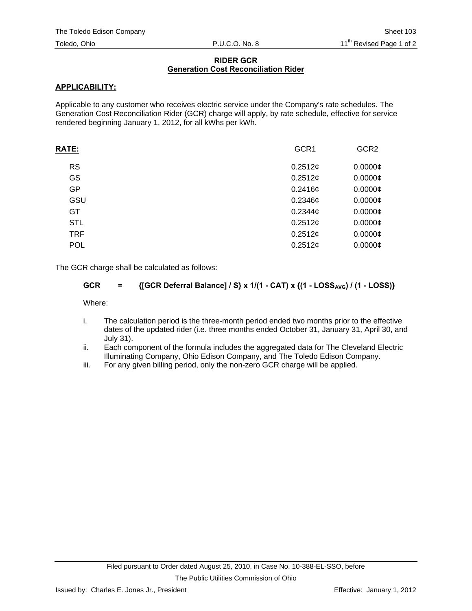### **RIDER GCR Generation Cost Reconciliation Rider**

# **APPLICABILITY:**

Applicable to any customer who receives electric service under the Company's rate schedules. The Generation Cost Reconciliation Rider (GCR) charge will apply, by rate schedule, effective for service rendered beginning January 1, 2012, for all kWhs per kWh.

| <b>RATE:</b> | GCR1       | GCR <sub>2</sub> |
|--------------|------------|------------------|
| <b>RS</b>    | 0.2512c    | $0.0000$ ¢       |
| GS           | 0.2512¢    | $0.0000$ ¢       |
| GP           | 0.2416¢    | $0.0000$ ¢       |
| GSU          | $0.2346$ ¢ | $0.0000$ ¢       |
| GT           | 0.2344c    | $0.0000$ ¢       |
| <b>STL</b>   | 0.2512¢    | $0.0000$ ¢       |
| <b>TRF</b>   | 0.2512¢    | $0.0000$ ¢       |
| <b>POL</b>   | 0.2512¢    | $0.0000$ ¢       |
|              |            |                  |

The GCR charge shall be calculated as follows:

# **GCR** =  $\{[GCR\ \nexists Balance] / S\} \times 1/(1 - CAT) \times (1 - LOSS_{AVG}) / (1 - LOSS)\}$

Where:

- i. The calculation period is the three-month period ended two months prior to the effective dates of the updated rider (i.e. three months ended October 31, January 31, April 30, and July 31).
- ii. Each component of the formula includes the aggregated data for The Cleveland Electric Illuminating Company, Ohio Edison Company, and The Toledo Edison Company.
- iii. For any given billing period, only the non-zero GCR charge will be applied.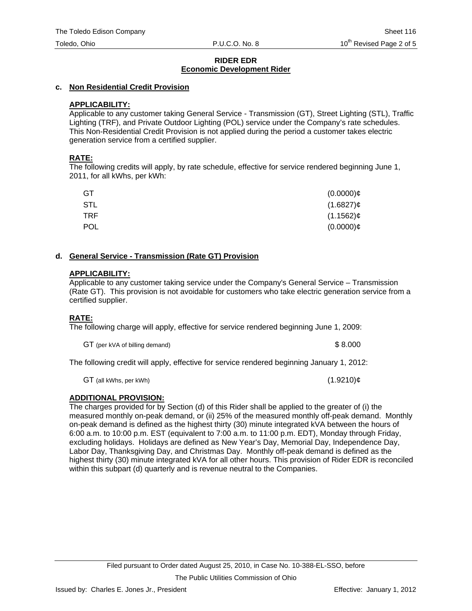### **c. Non Residential Credit Provision**

# **APPLICABILITY:**

Applicable to any customer taking General Service - Transmission (GT), Street Lighting (STL), Traffic Lighting (TRF), and Private Outdoor Lighting (POL) service under the Company's rate schedules. This Non-Residential Credit Provision is not applied during the period a customer takes electric generation service from a certified supplier.

# **RATE:**

The following credits will apply, by rate schedule, effective for service rendered beginning June 1, 2011, for all kWhs, per kWh:

| GT         | $(0.0000)$ ¢ |
|------------|--------------|
| <b>STL</b> | $(1.6827)$ ¢ |
| TRF.       | $(1.1562)$ ¢ |
| <b>POL</b> | $(0.0000)$ ¢ |

# **d. General Service - Transmission (Rate GT) Provision**

# **APPLICABILITY:**

Applicable to any customer taking service under the Company's General Service – Transmission (Rate GT). This provision is not avoidable for customers who take electric generation service from a certified supplier.

# **RATE:**

The following charge will apply, effective for service rendered beginning June 1, 2009:

GT (per kVA of billing demand)  $$8.000$ 

The following credit will apply, effective for service rendered beginning January 1, 2012:

 $GT$  (all kWhs, per kWh) (1.9210) $\phi$ 

# **ADDITIONAL PROVISION:**

The charges provided for by Section (d) of this Rider shall be applied to the greater of (i) the measured monthly on-peak demand, or (ii) 25% of the measured monthly off-peak demand. Monthly on-peak demand is defined as the highest thirty (30) minute integrated kVA between the hours of 6:00 a.m. to 10:00 p.m. EST (equivalent to 7:00 a.m. to 11:00 p.m. EDT), Monday through Friday, excluding holidays. Holidays are defined as New Year's Day, Memorial Day, Independence Day, Labor Day, Thanksgiving Day, and Christmas Day. Monthly off-peak demand is defined as the highest thirty (30) minute integrated kVA for all other hours. This provision of Rider EDR is reconciled within this subpart (d) quarterly and is revenue neutral to the Companies.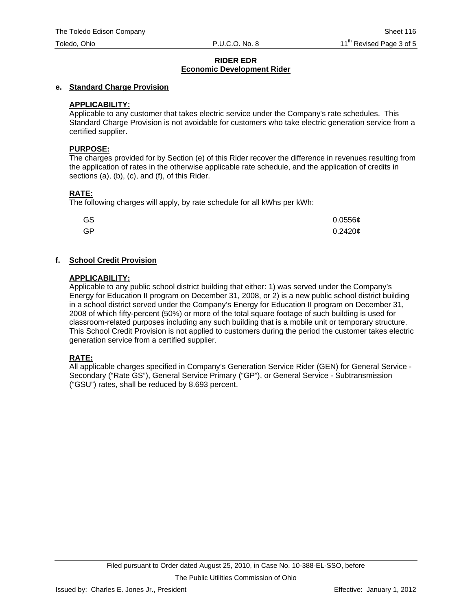# **e. Standard Charge Provision**

# **APPLICABILITY:**

Applicable to any customer that takes electric service under the Company's rate schedules. This Standard Charge Provision is not avoidable for customers who take electric generation service from a certified supplier.

# **PURPOSE:**

The charges provided for by Section (e) of this Rider recover the difference in revenues resulting from the application of rates in the otherwise applicable rate schedule, and the application of credits in sections (a), (b), (c), and (f), of this Rider.

# **RATE:**

The following charges will apply, by rate schedule for all kWhs per kWh:

| GS | $0.0556$ ¢ |
|----|------------|
| GP | 0.2420c    |

# **f. School Credit Provision**

# **APPLICABILITY:**

Applicable to any public school district building that either: 1) was served under the Company's Energy for Education II program on December 31, 2008, or 2) is a new public school district building in a school district served under the Company's Energy for Education II program on December 31, 2008 of which fifty-percent (50%) or more of the total square footage of such building is used for classroom-related purposes including any such building that is a mobile unit or temporary structure. This School Credit Provision is not applied to customers during the period the customer takes electric generation service from a certified supplier.

# **RATE:**

All applicable charges specified in Company's Generation Service Rider (GEN) for General Service - Secondary ("Rate GS"), General Service Primary ("GP"), or General Service - Subtransmission ("GSU") rates, shall be reduced by 8.693 percent.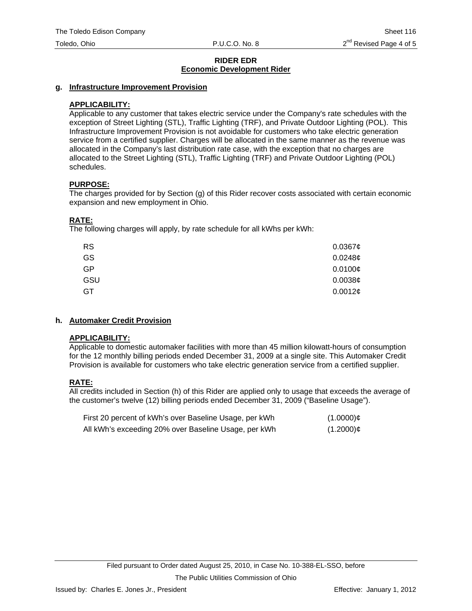### **g. Infrastructure Improvement Provision**

### **APPLICABILITY:**

Applicable to any customer that takes electric service under the Company's rate schedules with the exception of Street Lighting (STL), Traffic Lighting (TRF), and Private Outdoor Lighting (POL). This Infrastructure Improvement Provision is not avoidable for customers who take electric generation service from a certified supplier. Charges will be allocated in the same manner as the revenue was allocated in the Company's last distribution rate case, with the exception that no charges are allocated to the Street Lighting (STL), Traffic Lighting (TRF) and Private Outdoor Lighting (POL) schedules.

### **PURPOSE:**

The charges provided for by Section (g) of this Rider recover costs associated with certain economic expansion and new employment in Ohio.

# **RATE:**

The following charges will apply, by rate schedule for all kWhs per kWh:

| <b>RS</b> | $0.0367$ ¢ |
|-----------|------------|
| GS        | 0.0248c    |
| <b>GP</b> | 0.0100c    |
| GSU       | 0.0038c    |
| GT        | 0.0012¢    |

# **h. Automaker Credit Provision**

#### **APPLICABILITY:**

Applicable to domestic automaker facilities with more than 45 million kilowatt-hours of consumption for the 12 monthly billing periods ended December 31, 2009 at a single site. This Automaker Credit Provision is available for customers who take electric generation service from a certified supplier.

# **RATE:**

All credits included in Section (h) of this Rider are applied only to usage that exceeds the average of the customer's twelve (12) billing periods ended December 31, 2009 ("Baseline Usage").

| First 20 percent of kWh's over Baseline Usage, per kWh | $(1.0000)$ ¢ |
|--------------------------------------------------------|--------------|
| All kWh's exceeding 20% over Baseline Usage, per kWh   | $(1.2000)$ ¢ |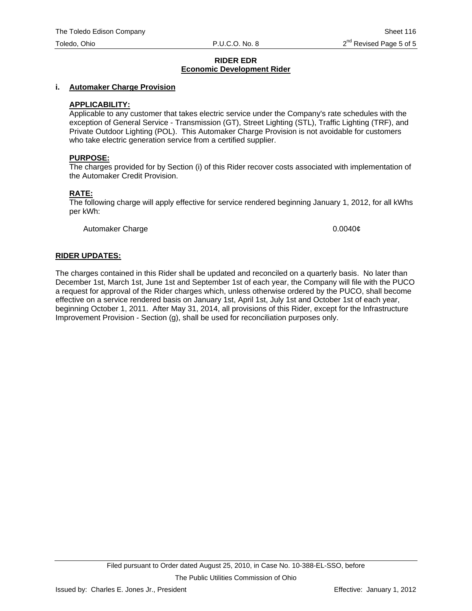### **i. Automaker Charge Provision**

### **APPLICABILITY:**

Applicable to any customer that takes electric service under the Company's rate schedules with the exception of General Service - Transmission (GT), Street Lighting (STL), Traffic Lighting (TRF), and Private Outdoor Lighting (POL). This Automaker Charge Provision is not avoidable for customers who take electric generation service from a certified supplier.

#### **PURPOSE:**

The charges provided for by Section (i) of this Rider recover costs associated with implementation of the Automaker Credit Provision.

# **RATE:**

The following charge will apply effective for service rendered beginning January 1, 2012, for all kWhs per kWh:

Automaker Charge 0.0040¢

### **RIDER UPDATES:**

The charges contained in this Rider shall be updated and reconciled on a quarterly basis. No later than December 1st, March 1st, June 1st and September 1st of each year, the Company will file with the PUCO a request for approval of the Rider charges which, unless otherwise ordered by the PUCO, shall become effective on a service rendered basis on January 1st, April 1st, July 1st and October 1st of each year, beginning October 1, 2011. After May 31, 2014, all provisions of this Rider, except for the Infrastructure Improvement Provision - Section (g), shall be used for reconciliation purposes only.